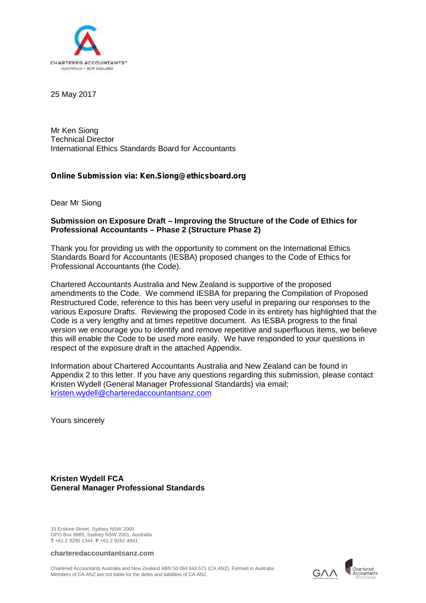

25 May 2017

Mr Ken Siong Technical Director International Ethics Standards Board for Accountants

### *Online Submission via: Ken.Siong@ethicsboard.org*

Dear Mr Siong

#### **Submission on Exposure Draft – Improving the Structure of the Code of Ethics for Professional Accountants – Phase 2 (Structure Phase 2)**

Thank you for providing us with the opportunity to comment on the International Ethics Standards Board for Accountants (IESBA) proposed changes to the Code of Ethics for Professional Accountants (the Code).

Chartered Accountants Australia and New Zealand is supportive of the proposed amendments to the Code. We commend IESBA for preparing the Compilation of Proposed Restructured Code, reference to this has been very useful in preparing our responses to the various Exposure Drafts. Reviewing the proposed Code in its entirety has highlighted that the Code is a very lengthy and at times repetitive document. As IESBA progress to the final version we encourage you to identify and remove repetitive and superfluous items, we believe this will enable the Code to be used more easily. We have responded to your questions in respect of the exposure draft in the attached Appendix.

Information about Chartered Accountants Australia and New Zealand can be found in Appendix 2 to this letter. If you have any questions regarding this submission, please contact Kristen Wydell (General Manager Professional Standards) via email; kristen.wydell@charteredaccountantsanz.com

Yours sincerely

**Kristen Wydell FCA General Manager Professional Standards**

33 Erskine Street, Sydney NSW 2000 GPO Box 9985, Sydney NSW 2001, Australia **T** +61 2 9290 1344 **F** +61 2 9262 4841

**charteredaccountantsanz.com**

Chartered Accountants Australia and New Zealand ABN 50 084 642 571 (CA ANZ). Formed in Australia. Members of CA ANZ are not liable for the debts and liabilities of CA ANZ.

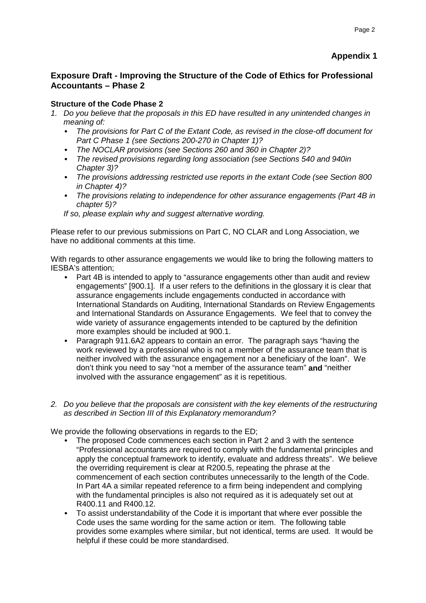# **Appendix 1**

## **Exposure Draft - Improving the Structure of the Code of Ethics for Professional Accountants – Phase 2**

## **Structure of the Code Phase 2**

- *1. Do you believe that the proposals in this ED have resulted in any unintended changes in meaning of:*
	- *The provisions for Part C of the Extant Code, as revised in the close-off document for Part C Phase 1 (see Sections 200-270 in Chapter 1)?*
	- *The NOCLAR provisions (see Sections 260 and 360 in Chapter 2)?*
	- *The revised provisions regarding long association (see Sections 540 and 940in Chapter 3)?*
	- *The provisions addressing restricted use reports in the extant Code (see Section 800 in Chapter 4)?*
	- *The provisions relating to independence for other assurance engagements (Part 4B in chapter 5)?*

*If so, please explain why and suggest alternative wording.*

Please refer to our previous submissions on Part C, NO CLAR and Long Association, we have no additional comments at this time.

With regards to other assurance engagements we would like to bring the following matters to IESBA's attention;

- Part 4B is intended to apply to "assurance engagements other than audit and review engagements" [900.1]. If a user refers to the definitions in the glossary it is clear that assurance engagements include engagements conducted in accordance with International Standards on Auditing, International Standards on Review Engagements and International Standards on Assurance Engagements. We feel that to convey the wide variety of assurance engagements intended to be captured by the definition more examples should be included at 900.1.
- Paragraph 911.6A2 appears to contain an error. The paragraph says "having the work reviewed by a professional who is not a member of the assurance team that is neither involved with the assurance engagement nor a beneficiary of the loan". We don't think you need to say "not a member of the assurance team" **and** "neither involved with the assurance engagement" as it is repetitious.
- *2. Do you believe that the proposals are consistent with the key elements of the restructuring as described in Section III of this Explanatory memorandum?*

We provide the following observations in regards to the ED;

- The proposed Code commences each section in Part 2 and 3 with the sentence "Professional accountants are required to comply with the fundamental principles and apply the conceptual framework to identify, evaluate and address threats". We believe the overriding requirement is clear at R200.5, repeating the phrase at the commencement of each section contributes unnecessarily to the length of the Code. In Part 4A a similar repeated reference to a firm being independent and complying with the fundamental principles is also not required as it is adequately set out at R400.11 and R400.12.
- To assist understandability of the Code it is important that where ever possible the Code uses the same wording for the same action or item. The following table provides some examples where similar, but not identical, terms are used. It would be helpful if these could be more standardised.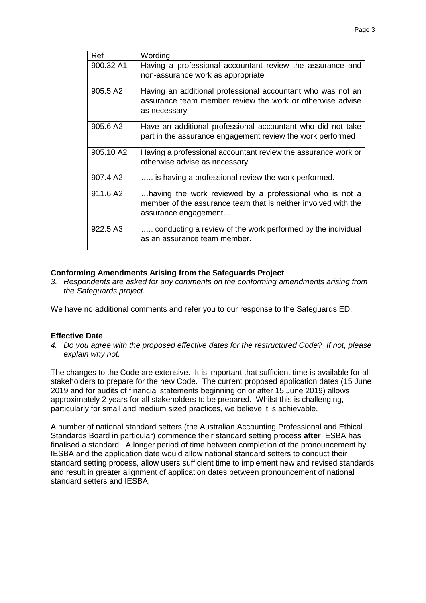| Ref                  | Wording                                                                                                                                           |
|----------------------|---------------------------------------------------------------------------------------------------------------------------------------------------|
| 900.32 A1            | Having a professional accountant review the assurance and<br>non-assurance work as appropriate                                                    |
| 905.5 A2             | Having an additional professional accountant who was not an<br>assurance team member review the work or otherwise advise<br>as necessary          |
| 905.6 A2             | Have an additional professional accountant who did not take<br>part in the assurance engagement review the work performed                         |
| 905.10 A2            | Having a professional accountant review the assurance work or<br>otherwise advise as necessary                                                    |
| 907.4 A <sub>2</sub> | is having a professional review the work performed.                                                                                               |
| 911.6 A2             | having the work reviewed by a professional who is not a<br>member of the assurance team that is neither involved with the<br>assurance engagement |
| 922.5 A3             | conducting a review of the work performed by the individual<br>as an assurance team member.                                                       |

#### **Conforming Amendments Arising from the Safeguards Project**

*3. Respondents are asked for any comments on the conforming amendments arising from the Safeguards project.*

We have no additional comments and refer you to our response to the Safeguards ED.

#### **Effective Date**

*4. Do you agree with the proposed effective dates for the restructured Code? If not, please explain why not.*

The changes to the Code are extensive. It is important that sufficient time is available for all stakeholders to prepare for the new Code. The current proposed application dates (15 June 2019 and for audits of financial statements beginning on or after 15 June 2019) allows approximately 2 years for all stakeholders to be prepared. Whilst this is challenging, particularly for small and medium sized practices, we believe it is achievable.

A number of national standard setters (the Australian Accounting Professional and Ethical Standards Board in particular) commence their standard setting process **after** IESBA has finalised a standard. A longer period of time between completion of the pronouncement by IESBA and the application date would allow national standard setters to conduct their standard setting process, allow users sufficient time to implement new and revised standards and result in greater alignment of application dates between pronouncement of national standard setters and IESBA.